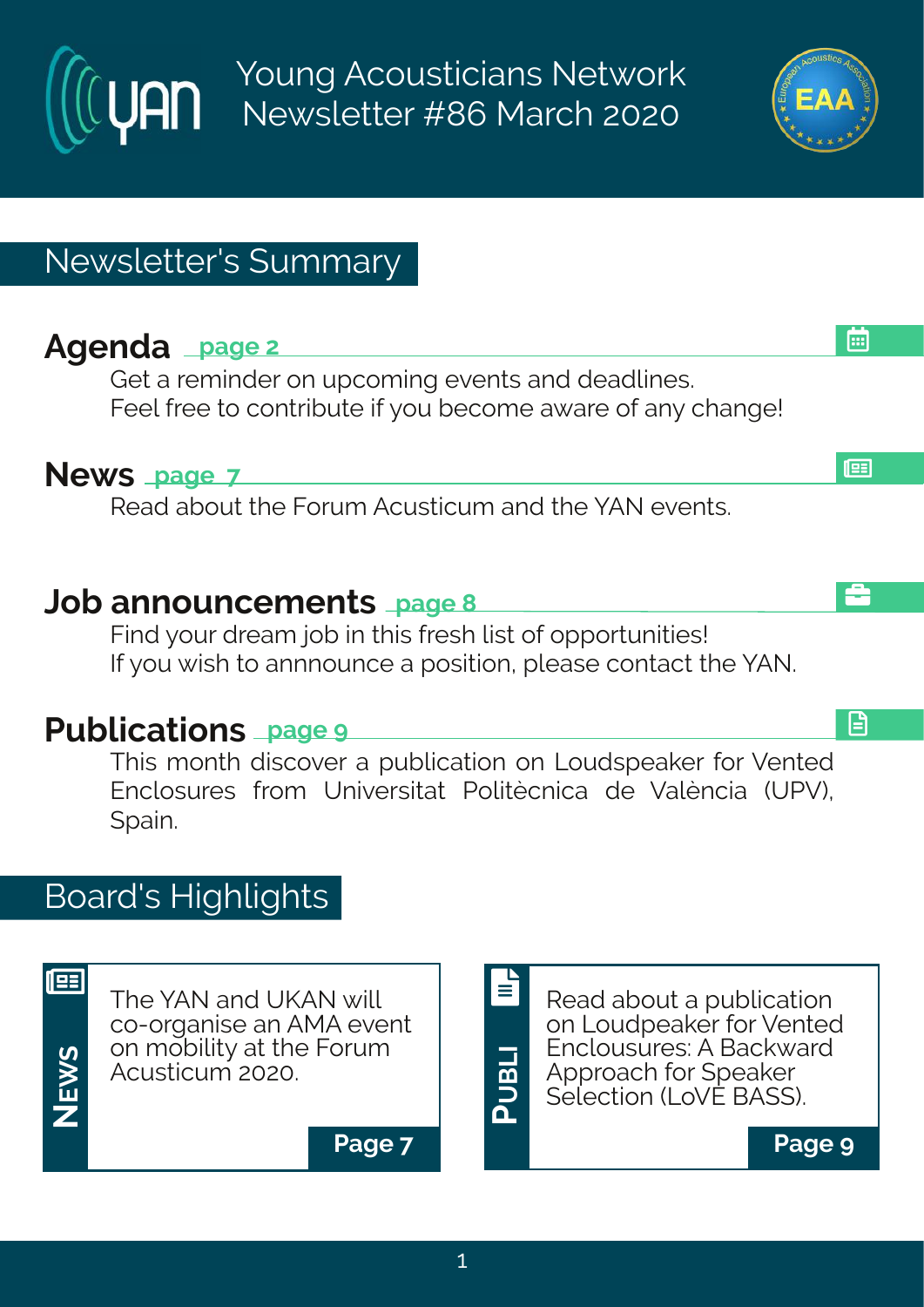Young Acousticians Network Newsletter #86 March 2020

# Newsletter's Summary

# **Agenda page 2**

Get a reminder on upcoming events and deadlines. Feel free to contribute if you become aware of any change!

#### **News page 7**

Read about the Forum Acusticum and the YAN events.

#### **Job announcements page 8**

Find your dream job in this fresh list of opportunities! If you wish to annnounce a position, please contact the YAN.

# **Publications page 9**

This month discover a publication on Loudspeaker for Vented Enclosures from Universitat Politècnica de València (UPV), Spain.

# Board's Highlights



The YAN and UKAN will co-organise an AMA event on mobility at the Forum Acusticum 2020.



**Page 7 Page 9**





l⊞

å

日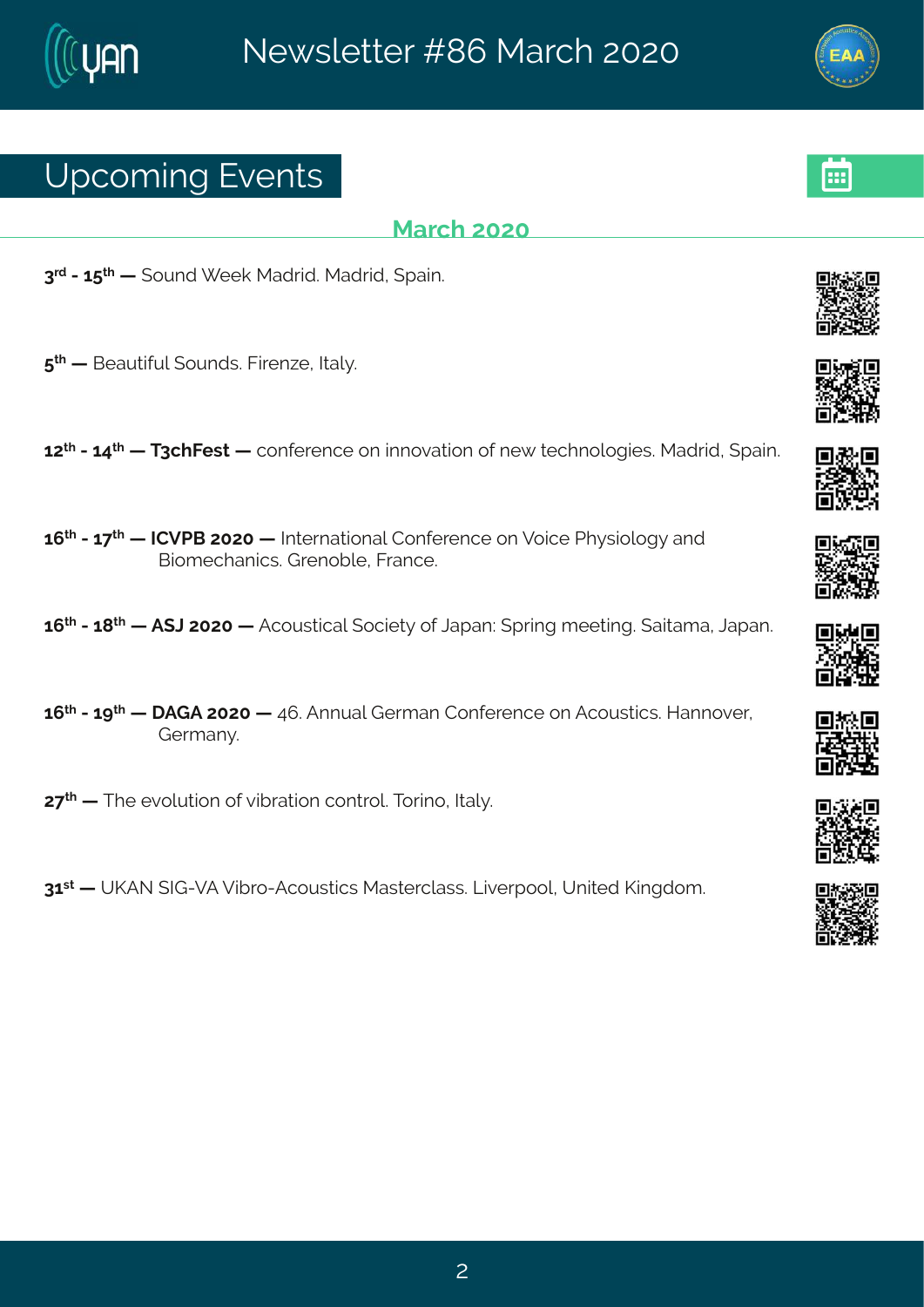### Yt gsq mk#Jzi r xw

#### Reval #575

8<sup>vh</sup>#2#6: <sup>x|</sup> # # syrh# ii o#Rehvmh3#Rehvml# {tem=3

:  $*$  # # Gi eyxmyp# syrhw3# Kmvir $\sim$ i # Nep} 3

67<sup>xl</sup> #2#69<sup>xl</sup> # #X8ql Kiw # #gsrjivirgi#sr#mrszexmsr#sj#ri{#kiglrspsk miw \$Rehvml # tem 3

6:  $\frac{1}{2}$  #246  $\frac{1}{2}$  #HHZUG#7575 # #N xi vrexms rep#Hsrijvi rgi #sr#Zsmoji #UI } wmspsk } #erh # Grsq i gler rom wood u r sf pi 14K ver gi 3

6;  $\frac{1}{2}$  #246= $\frac{1}{2}$  # FF (C #7575 # FF gsywnogep # sgninx} #sj # Cet er ?# t vnn k #q i i xnn k 3# en xeq e # Cet er 3

6;  $\frac{1}{2}$  #246> $\frac{1}{4}$  # FLF#7575# #9; 3FFrryep4Livq er#Hsrjivirgi#sr#Fgsywwmgw&Merrsziv4# Livq er  $3$ 

7 < At #XI i # zspyxnsr#sj#tmlvexnsr#gsrxvsp\$AXsvms#Axlep} 3

86 \*\* # PFS#NL 2ZF#Zmf vs 2Fgsywng w #R ewi vg peww \$ Qozi vt ssp!#Yr maih #Pm khsq 3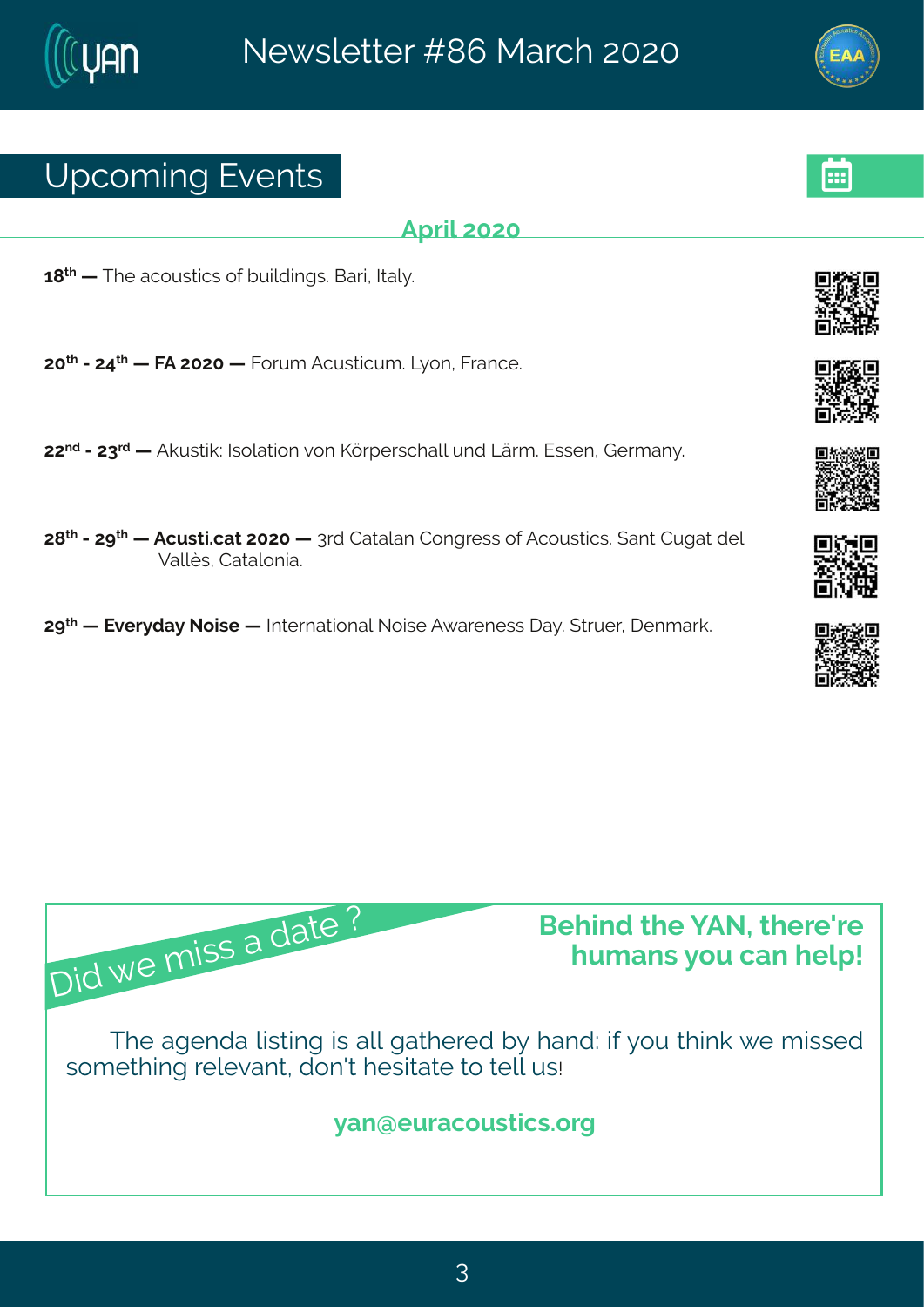### Yt gsq mk#Jzi r xw

#### **Ft vm#575**

 $6 = x$  # #XI i #egsywxngw#sj#ymdnmkw&Gevm#Nep} 3#

75<sup>x</sup> #2479<sup>x</sup> # #KF#7575# #Kswq #Fgywxmgyq 3#Q sr #Kvergi 3

77<sup>rh</sup>#24778<sup>vh</sup># #Foywwmo?ANkspexmsr#csr#PYvtiwnglepp#yrh#QÊvq3#Jwwir1#Livqer}3

7=<sup>xl</sup> #247><sup>xl</sup> # #Fqywxnodex+7575# #8vh#Hexeper #Hsrkviww#sj#Fqsywxnogw&terx#Hykex#hip# Zepû w#Hexepsrme3

7><sup>x|</sup> # #Jziv}he}#Ssmwi# #Ntxivrexmsrep#Ssmwi#F{eviriww#le}3#xwyiv/#lirqevo3

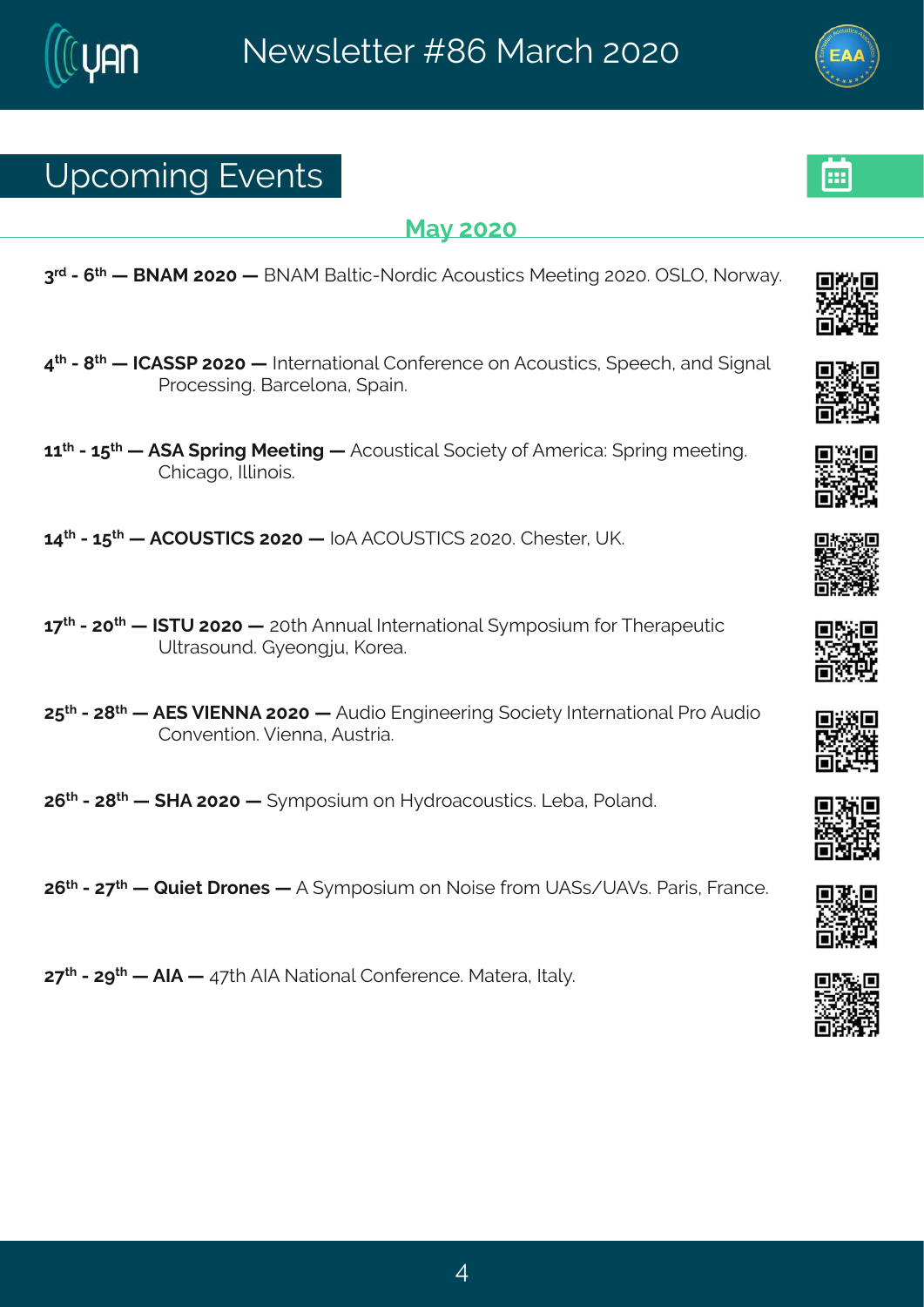### Yt gsq mk#Jzi r xw

#### Re}#575

8<sup>th</sup>#2#<sup>x|</sup>##GSFR#7575##GSFR#Gepxng2Ssvhng#Fgsywxngw#Riixmk#757534T(QT1#Ssv{e}3

- 9<sup>xl</sup> #24 $\neq$  # #HHF((U#7575# #Nxivrexmsrep#Hsrjivirgi#sr#Fgsywxngw #(tiigl #erh#mkrep# Uvsgi wwnk3 Gevgi psre#tem3
- 66<sup>xl</sup> #2#6:<sup>x|</sup> # #F (F#, tvm k #R iixm k # #Fgsywxnogep#, sgm x} #sj#Fg ivnoge?#, tvm k #g iixm k 3# HI rojek s # plans mm<sup>3</sup>

69<sup>x|</sup> #246: <sup>x|</sup> # #FHTY(XNH(#7575# #NSF#FHTY(XNH(#75753#Hliwxiv1#YP3

- 6 << # #2#75 x # #N XY#7575 # #75 x # Frrver # Nxister # } q t swmn q # sw # Nive tiv xnot # Ypxewsyrh 趾 } i sr k ny #Psvie3
- 7:  $\frac{d}{dx}$  # # # J ( # N SSF # 575 # # F y h ms # J r k m i i v m k # s g m x } # N x i v r exter ept U s # F y h ms #

7;  $\frac{\cancel{x}}{1}$  #  $\frac{\cancel{x}}{1}$  #  $\frac{\cancel{x}}{1}$  MF#7575 #  $\frac{\cancel{x}}{1}$  a t swing # sr # M h vseqsy w monomorphist i e # Usper h 3#

7;  $\frac{\cancel{x}}{1}$  #2477 <  $\cancel{x}$  # #V y m x # vsriw # #F # } q t swnyng #sr#Ssnwi# vsg #Y F (w4YF Zw & Uewn W# Kvergi 3#

7<<sup>x|</sup> \$P\$\$T><sup>x|</sup> # \$FNF# \$P<x| \$FNF\$Bex15arep\$HSrijvirgi \$PRexive \$P\$Nep} 3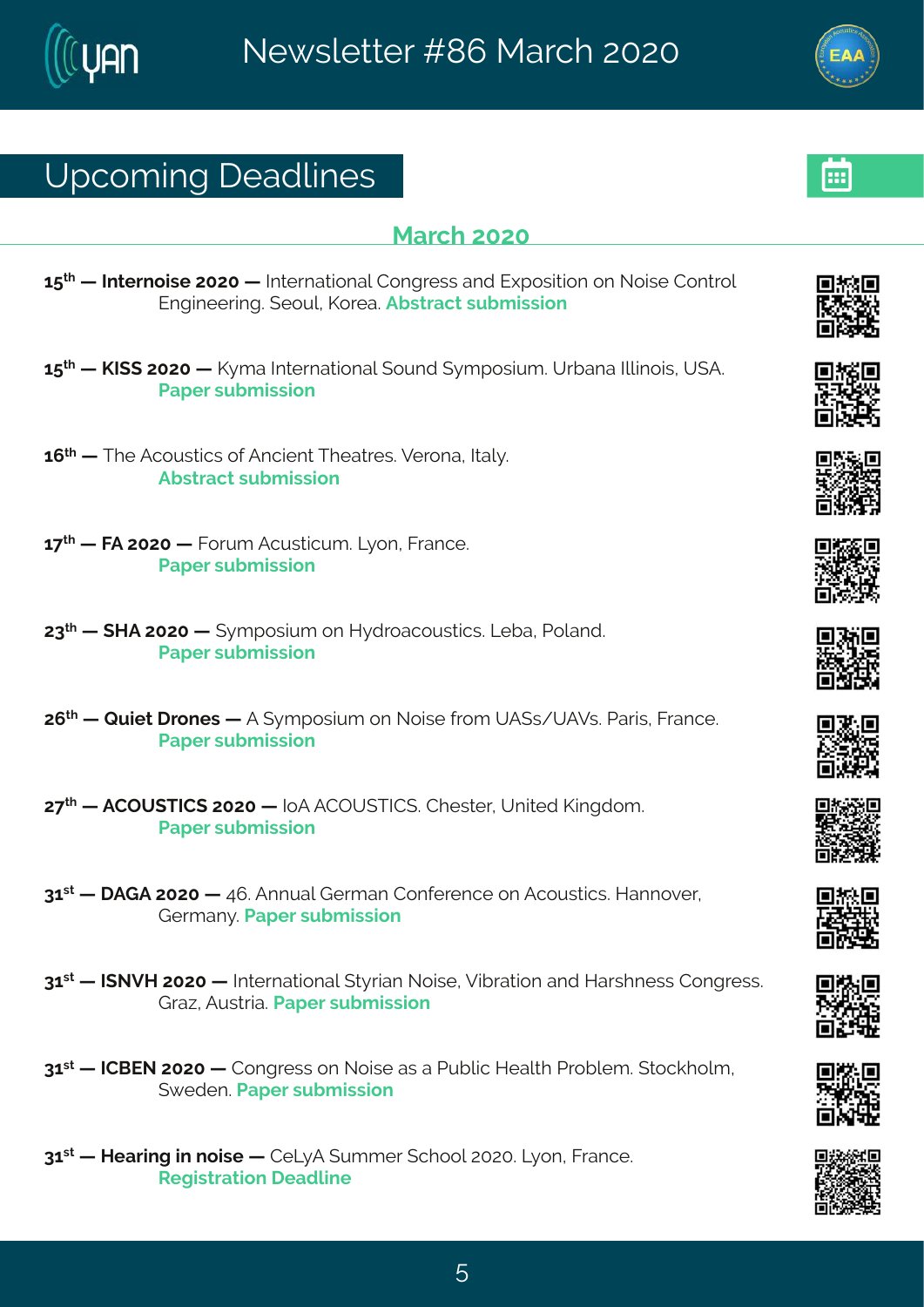# Yt gsq mk# i ehpni w

#### **Reval #575**

6:  $\frac{1}{4}$  # # xi vrsmvi#7575# # Naxi vrexmsrep#Hsrkviww#erh#Jltswmxnsr#sr#Ssmwi#Hsrxvsp# Jrkmii wmk3#isyp#Psvie3Ffwwegx#wfgmwnar

- $6:$   $*$  # #PN (#7575 # #P) a e#N xi vrexms rept svrh # } a t swm a  $*$  of ere#Nomsmow#Y (F  $*$ Uet i v#w f q mwnsr
- 6;  $\frac{1}{4}$  #XI i #Fgsyw mogw #sj#Frgmin x#XI i exvi w \$2Zi vsre #Nbep} 3# Ff wwegx#w f g mwnsr
- $6 <^{\times}$  # #KF#7575# #Kswq#Fgywxmgyq 3#Q}sr#Kwergi3# Uet i v#w f a mwnsr
- 78<sup>x</sup> # # MF#7575 # # } q t swmyq #sr #M} h vsegsy wwmgw \$KQ f e # Usper h 3# Uet i v#w f q mwnsr
- 7; \* #: #Vymix #vsriw #: #F#; }qtswmyq#sr#Ssmwi#jvsq#YF(w4YFZw&Ndewmw#Kwergi3# Uet i v#w f a mwnar
- 7<<sup>x|</sup> # #FHTY(XNH(#7575# #NSF#FHTY(XNH(3#Hliw-iv1#Yrmxih#Pmnkhsq 3# Uet i v#w f q mwnsr
- 86 \*\* # FLF#7575 # #9:3 Frrvers#Livaer#Hsriivirai#sr#Fasywwonow \$AMerrsziv # Livger} 3 Let i v#w f g mwnsn
- 86 \*\* #NISZM#7575# #Nixivrexmsrep#(x)vmer#Ssmwi1#Zmfvexmsr#erh#Mewlriww#Hsrkviww3# Lve~#Fvww.me3 Uet iv#wfgmwnsr
- 86 \*\* #HHGJS#7575# #Hsrkviww#sr#Ssmwi#ew#e#Llyfpng#Miep 4 #Llvsfpiq 3#xsgolspq 1# ({ihir 3 Let iv#w, fq mwnsn
- 86 \*\* #Mie vm k #m # smvi # #HiQ F# yqqi v# glssp#757534Q sr #K ver gi 3# W knowex rat i ehpni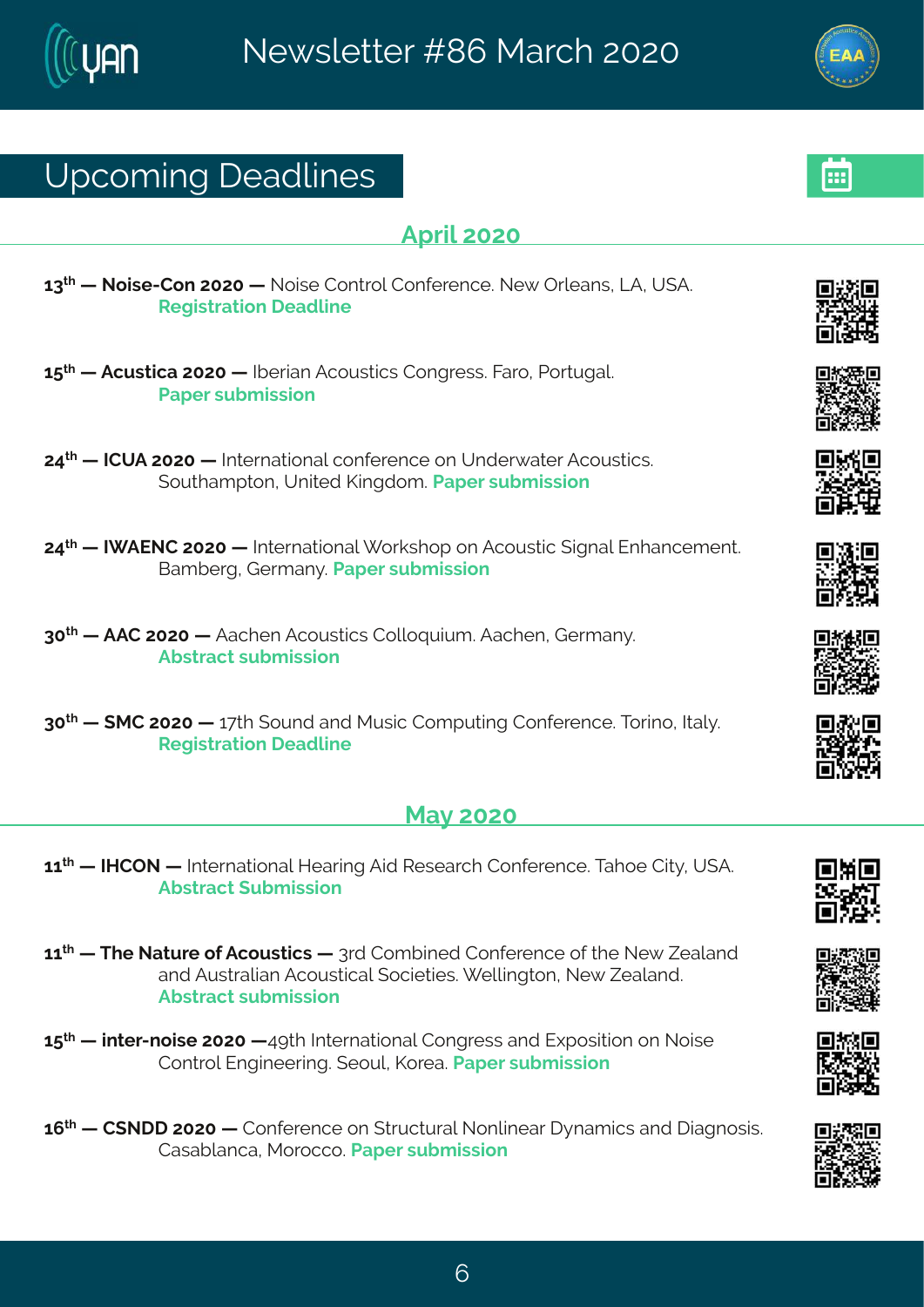# Yt gsq mk# i ehpni w

#### $Ft$  wor $\#$ 575

- 68<sup>xl</sup># #Ssmwi2Hsr#7575# #Ssmwi#Hsrxvsp#Hsriivirgi3#Si{#Twojerw1#QF1#Y(F3# W knowexmer# i ehpni
- 6: xi # #Fgywxnge #7575# #KNiwner#Fgsywxnocw#Hsrkviww3#Kevs1#Uswsykep3# Uet i v#w f a mwnsr
- 79<sup>x</sup> # #HHYF#7575# #Nxivrexmsrep#gsrjivirgi#sr#Yrhiv{exiv#Fgsywwmgw3# (syxleqtxsr14Yrmah#Pmnkhsq3#Jetiv#wyfqmwnsr
- 79<sup>x</sup> # #NIFJSH#7575# #Ntxivrexmsrep# svowlst#sr#Fgsywxn**g#nkrep#Jrlergiqirx**3# Geg fivk #Livg er} 3Nd et iv#w fg mwnsar
- 85<sup>x</sup> # #FFH#7575# #Feglir#Fgsywwmgw#Hsppsuymyq 3#Feglir#Livqer}3# Ff wwegx#w f g mwnsr
- 85<sup>x|</sup> # # RH#7575# #6<xl| # svrh#erh#Rvwmou#Hsqtvxnnk#Hsrijvirgi3¥svnns1#Nep}3## W knowexmer# i ehomi

#### $Re\}$ #7575

- 66<sup>xi</sup> # #NA/HTS # #Nixi vrexmsrep #Mievnnk #Fmh #Wi wievgl #Hsrjivirgi 33Xel si#Hnx}14Y (F3# Ff wwegx# yf g mwnsr
- 66<sup>√</sup> # #Xli#Sexyvi#sj#Fgsywxmgw# #8vh#Hsqfmnih#Hsrjivirgi#sj#vli#Si{#^ieperh# erh#Fyww.epmer#Fgsyw.orgep#sgmixmiw.of ipponkxsr1#Si{#lieperh3# Ff wweax#w f a mwnsr
- 6:  $\frac{1}{4}$  # m xi  $\sqrt{2}$  smoi #7575# 9>xl # N xi vrexms rep#Hsrk vi ww#erh#llt swmxms r#sr#Ssmwi# Hsr xvsp#Jr km ii vm k 3# i syp1#Psvie 3# Jet i v#w f q mwnsr
- 6;  $\frac{1}{4}$  #H(SII #7575# #Hsrjivirgi#sr#; xvygxyvep#Ssrpmiev# } req mgw#erh# mekrswmw3# Hewef per get R sysggs Stell i why f g mwnsn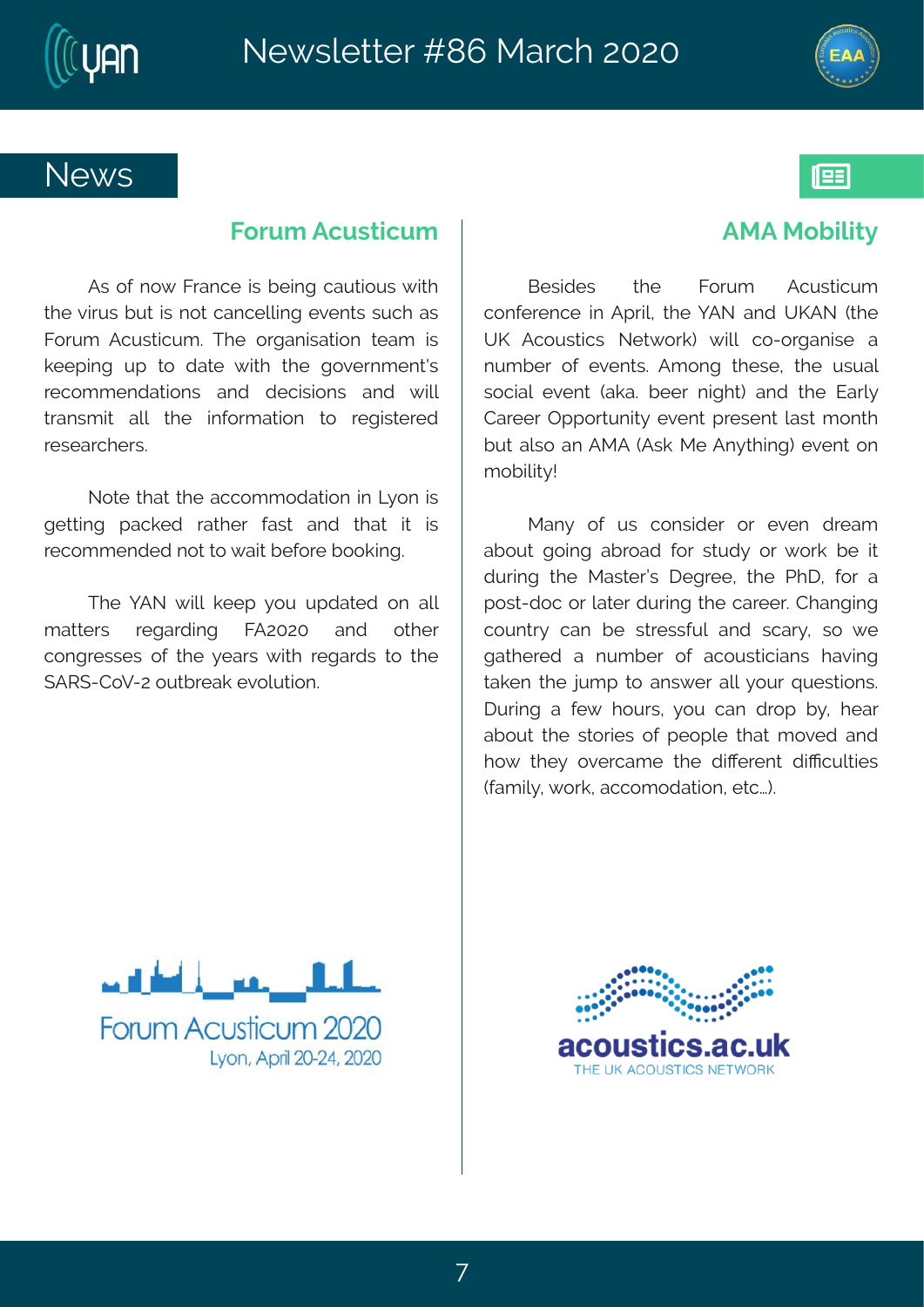



193

### **News**

#### **Forum Acusticum**

As of now France is being cautious with the virus but is not cancelling events such as Forum Acusticum. The organisation team is keeping up to date with the government's recommendations and decisions and will transmit all the information to registered researchers.

Note that the accommodation in Lyon is getting packed rather fast and that it is recommended not to wait before booking.

The YAN will keep you updated on all matters regarding FA2020 and other congresses of the years with regards to the SARS-CoV-2 outbreak evolution.

#### **AMA Mobility**

Besides the Forum Acusticum conference in April, the YAN and UKAN (the UK Acoustics Network) will co-organise a number of events. Among these, the usual social event (aka. beer night) and the Early Career Opportunity event present last month but also an AMA (Ask Me Anything) event on mobility!

Many of us consider or even dream about going abroad for study or work be it during the Master's Degree, the PhD, for a post-doc or later during the career. Changing country can be stressful and scary, so we gathered a number of acousticians having taken the jump to answer all your questions. During a few hours, you can drop by, hear about the stories of people that moved and how they overcame the different difficulties (family, work, accomodation, etc…).



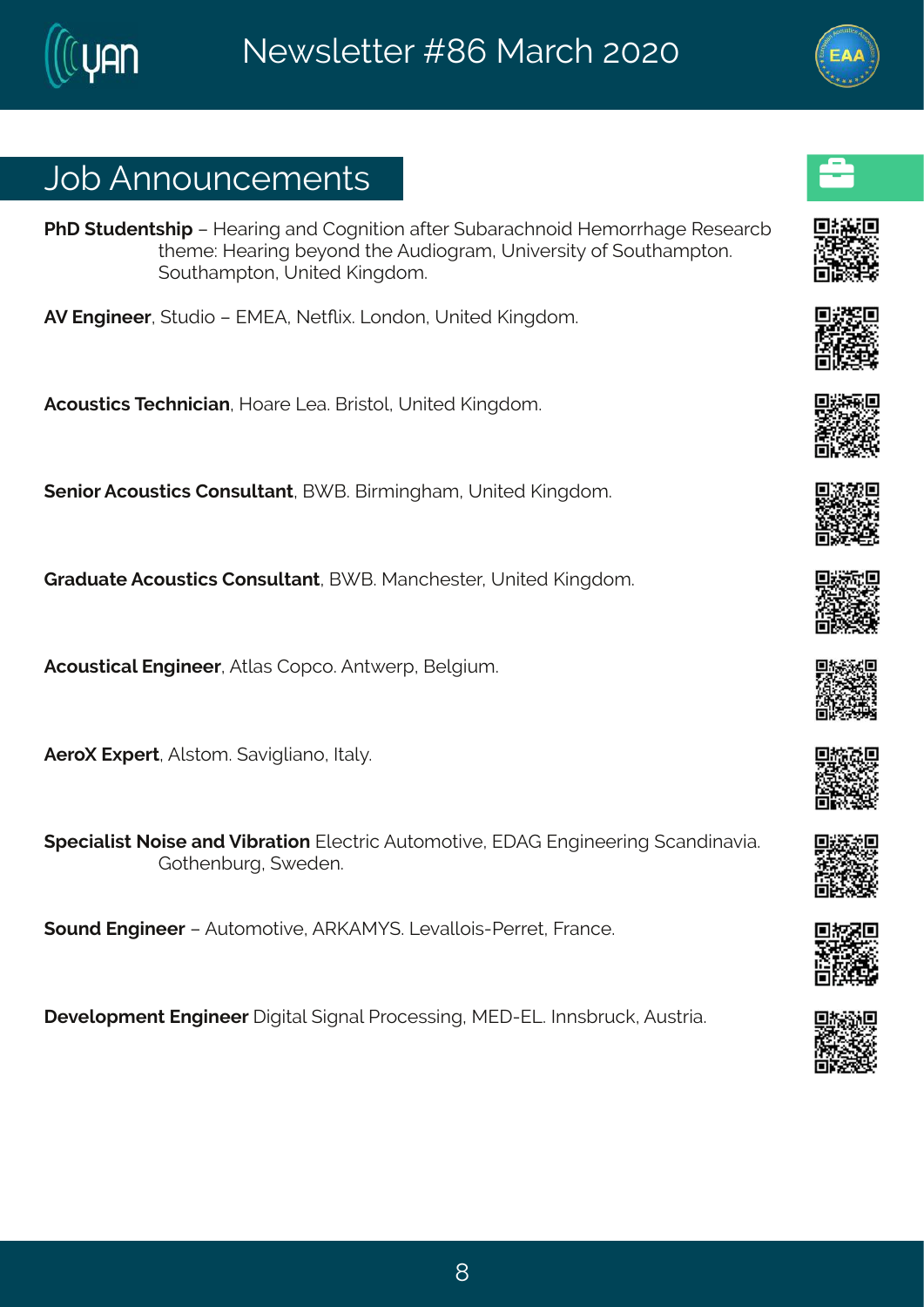### Osf#Frrsyrgiqirxw

UII# xyhir xwl mt# #Miewnk#erh#Hskrmxnsr#ejxiv#(yfevegIrsmh#Mig swl eki#Wiwievgf# plioti??Mievnnk#j}srh#li#Fyhnskveq1?AYrnzniwnn&j#ski#sypleqtpsr3# (syxlegtxsr1#Yrmah#Pmnkhsg3#

FZ#Jrkmiiv1#xyhnsn##JRJF1#SixQm3#Qsrhsr1#Yrmah#Pmnkhsq3#

Fasywaraw #X al r ramer #Msevi#Qie 36Gwww.spf#Yr maih #Pmnkhsa 3#

(irmsv#Fgsywxmgw#Hsrwypxerx14G| G34Gmxqmnkleq 1#Yrmaih#Pmnkhsq 3

Lvehyexi#Fqsywxmqw#Hsrwypxerx1#G[G3#Rerqliwwiv1#Yrmxih#Pmnkhsq3

Fgsywngep#lrkmiiv#Fxpew#Hstgs3Frx{ivt#Gipkmyq3

Fivs\#J|tivx\*#Fpwsq 3#(ezmkpmers\*#Mep}3

(tignepmw#Ssmvi#erh #Zmfvexmsr#Jpigxvmg#Fyxsq sxnzi1#JIFL#Jrkmnii vm k#gerhmezme3#  $Ls$  i rf y  $k$   $\sharp$  { i hi r 3

(syrh#Jrkmiiw##Fyxsq sxmzi#FWPFR] (36Q zeppsmw2Uiwix#Kwergi3

I i zipst q i r x#Jrk m i i v# nkmxep#, nkrep#LNsgiwwnnk 11R JI 2JQ Sphalr wf w go 14Fy www.ne3